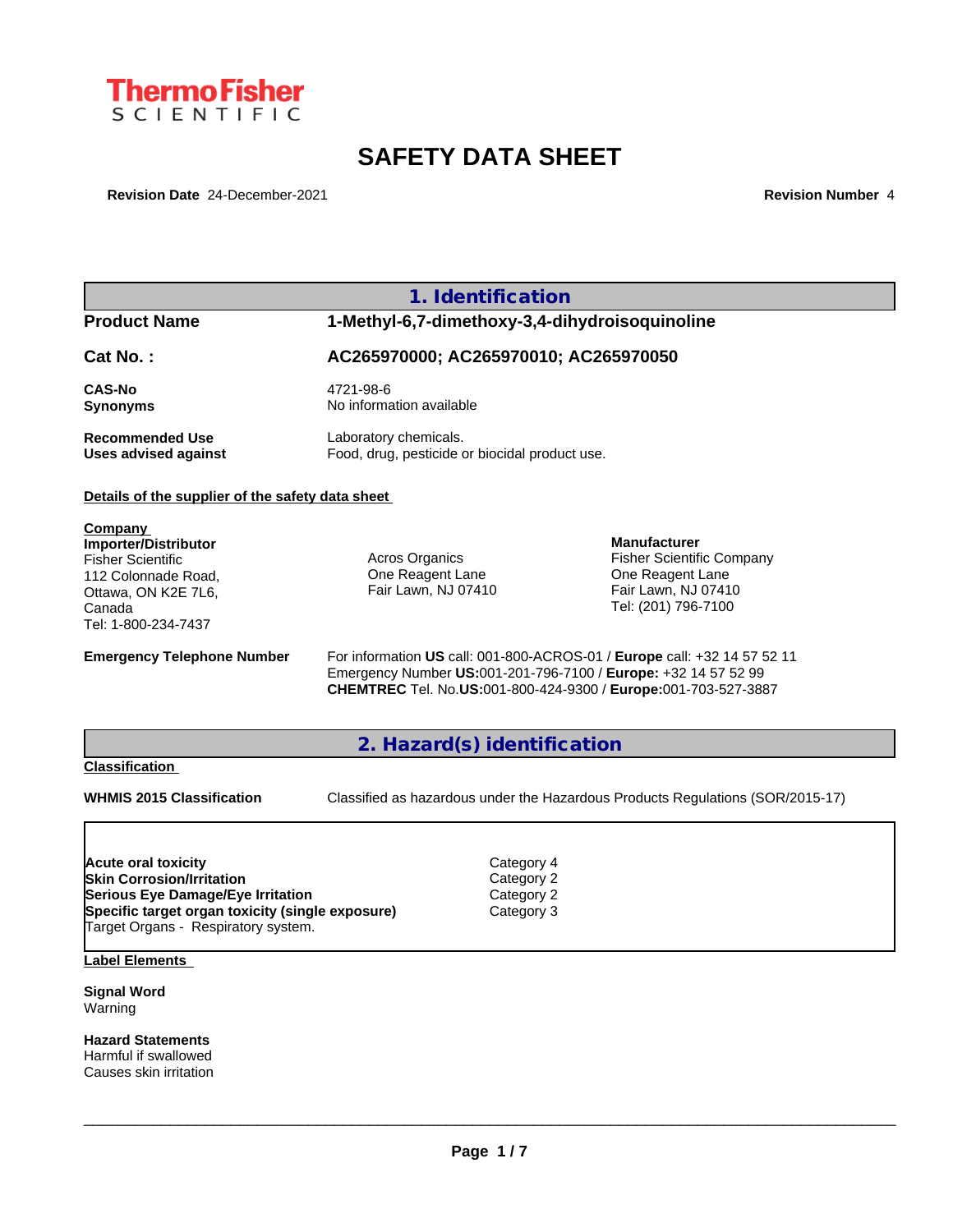

# **SAFETY DATA SHEET**

**Revision Date** 24-December-2021 **Revision Number** 4

# **1. Identification**

# **Product Name 1-Methyl-6,7-dimethoxy-3,4-dihydroisoquinoline**

## **Cat No. : AC265970000; AC265970010; AC265970050**

**CAS-No** 4721-98-6 **Synonyms** No information available

**Recommended Use** Laboratory chemicals.<br> **Uses advised against** Food, drug, pesticide of Food, drug, pesticide or biocidal product use.

## **Details of the supplier of the safety data sheet**

**Company Importer/Distributor** Fisher Scientific 112 Colonnade Road, Ottawa, ON K2E 7L6, Canada Tel: 1-800-234-7437

Acros Organics One Reagent Lane Fair Lawn, NJ 07410

**Manufacturer** Fisher Scientific Company One Reagent Lane Fair Lawn, NJ 07410 Tel: (201) 796-7100

**Emergency Telephone Number** For information **US** call: 001-800-ACROS-01 / **Europe** call: +32 14 57 52 11 Emergency Number **US:**001-201-796-7100 / **Europe:** +32 14 57 52 99 **CHEMTREC** Tel. No.**US:**001-800-424-9300 / **Europe:**001-703-527-3887

## **2. Hazard(s) identification**

## **Classification**

**WHMIS 2015 Classification** Classified as hazardous under the Hazardous Products Regulations (SOR/2015-17)

 $\_$  ,  $\_$  ,  $\_$  ,  $\_$  ,  $\_$  ,  $\_$  ,  $\_$  ,  $\_$  ,  $\_$  ,  $\_$  ,  $\_$  ,  $\_$  ,  $\_$  ,  $\_$  ,  $\_$  ,  $\_$  ,  $\_$  ,  $\_$  ,  $\_$  ,  $\_$  ,  $\_$  ,  $\_$  ,  $\_$  ,  $\_$  ,  $\_$  ,  $\_$  ,  $\_$  ,  $\_$  ,  $\_$  ,  $\_$  ,  $\_$  ,  $\_$  ,  $\_$  ,  $\_$  ,  $\_$  ,  $\_$  ,  $\_$  ,

| Acute oral toxicity                              | Category 4 |  |
|--------------------------------------------------|------------|--|
| <b>Skin Corrosion/Irritation</b>                 | Category 2 |  |
| Serious Eye Damage/Eye Irritation                | Category 2 |  |
| Specific target organ toxicity (single exposure) | Category 3 |  |
| Target Organs - Respiratory system.              |            |  |

**Label Elements**

**Signal Word** Warning

**Hazard Statements** Harmful if swallowed Causes skin irritation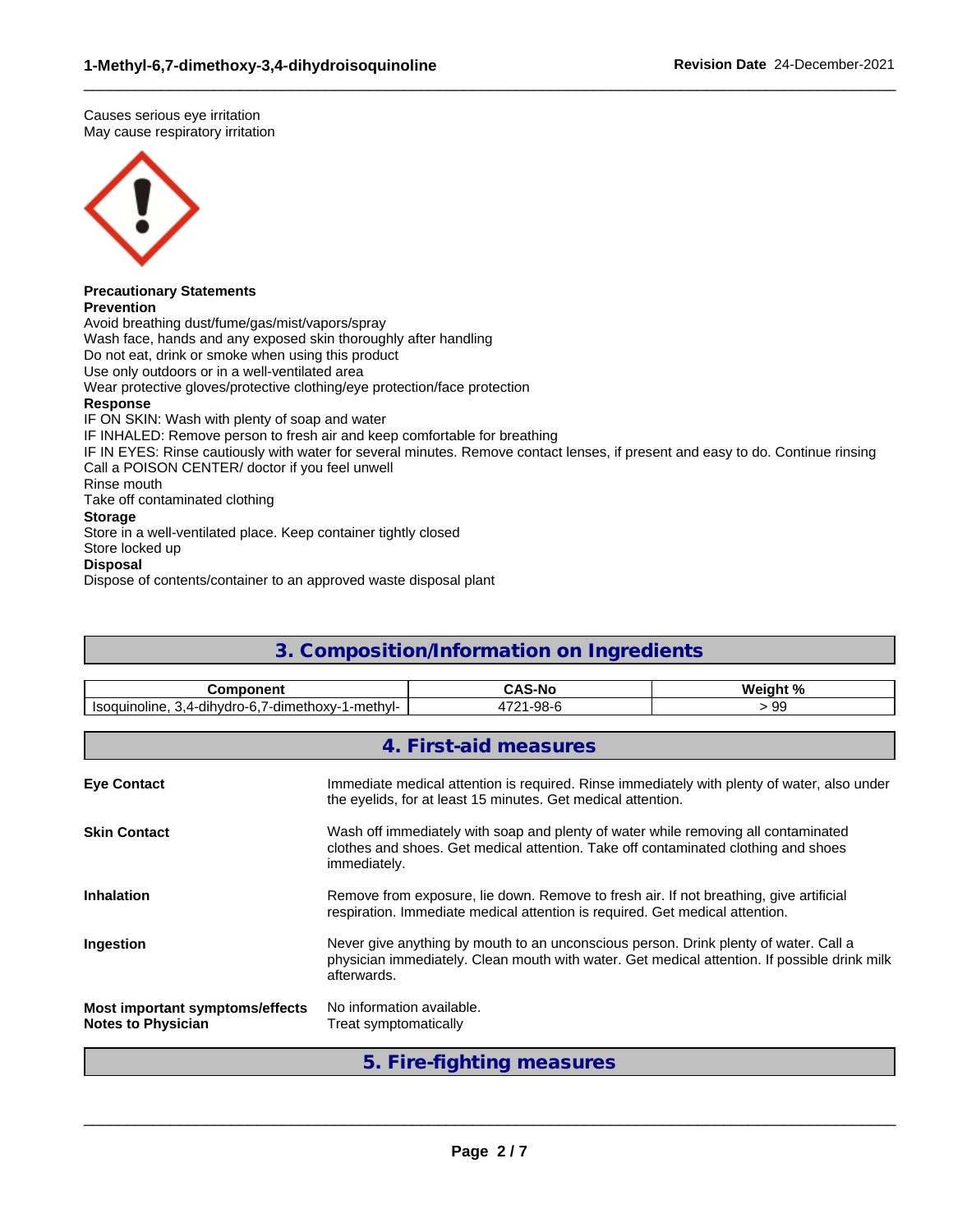Causes serious eye irritation May cause respiratory irritation



# **Precautionary Statements**

**Prevention**

Avoid breathing dust/fume/gas/mist/vapors/spray Wash face, hands and any exposed skin thoroughly after handling Do not eat, drink or smoke when using this product Use only outdoors or in a well-ventilated area Wear protective gloves/protective clothing/eye protection/face protection **Response** IF ON SKIN: Wash with plenty of soap and water IF INHALED: Remove person to fresh air and keep comfortable for breathing IF IN EYES: Rinse cautiously with water for several minutes. Remove contact lenses, if present and easy to do. Continue rinsing Call a POISON CENTER/ doctor if you feel unwell Rinse mouth Take off contaminated clothing **Storage** Store in a well-ventilated place. Keep container tightly closed Store locked up **Disposal**

 $\_$  ,  $\_$  ,  $\_$  ,  $\_$  ,  $\_$  ,  $\_$  ,  $\_$  ,  $\_$  ,  $\_$  ,  $\_$  ,  $\_$  ,  $\_$  ,  $\_$  ,  $\_$  ,  $\_$  ,  $\_$  ,  $\_$  ,  $\_$  ,  $\_$  ,  $\_$  ,  $\_$  ,  $\_$  ,  $\_$  ,  $\_$  ,  $\_$  ,  $\_$  ,  $\_$  ,  $\_$  ,  $\_$  ,  $\_$  ,  $\_$  ,  $\_$  ,  $\_$  ,  $\_$  ,  $\_$  ,  $\_$  ,  $\_$  ,

Dispose of contents/container to an approved waste disposal plant

# **3. Composition/Information on Ingredients**

| <b>Component</b>                                                                                                                                                                  |                                                                                                                                                                                                     | <b>CAS-No</b>                                                                                                                                                            | Weight % |  |  |  |  |
|-----------------------------------------------------------------------------------------------------------------------------------------------------------------------------------|-----------------------------------------------------------------------------------------------------------------------------------------------------------------------------------------------------|--------------------------------------------------------------------------------------------------------------------------------------------------------------------------|----------|--|--|--|--|
| Isoquinoline, 3,4-dihydro-6,7-dimethoxy-1-methyl-                                                                                                                                 |                                                                                                                                                                                                     | 4721-98-6                                                                                                                                                                | >99      |  |  |  |  |
|                                                                                                                                                                                   |                                                                                                                                                                                                     |                                                                                                                                                                          |          |  |  |  |  |
|                                                                                                                                                                                   |                                                                                                                                                                                                     | 4. First-aid measures                                                                                                                                                    |          |  |  |  |  |
| Immediate medical attention is required. Rinse immediately with plenty of water, also under<br><b>Eye Contact</b><br>the eyelids, for at least 15 minutes. Get medical attention. |                                                                                                                                                                                                     |                                                                                                                                                                          |          |  |  |  |  |
| <b>Skin Contact</b>                                                                                                                                                               | immediately.                                                                                                                                                                                        | Wash off immediately with soap and plenty of water while removing all contaminated<br>clothes and shoes. Get medical attention. Take off contaminated clothing and shoes |          |  |  |  |  |
| <b>Inhalation</b>                                                                                                                                                                 | Remove from exposure, lie down. Remove to fresh air. If not breathing, give artificial<br>respiration. Immediate medical attention is required. Get medical attention.                              |                                                                                                                                                                          |          |  |  |  |  |
| Ingestion                                                                                                                                                                         | Never give anything by mouth to an unconscious person. Drink plenty of water. Call a<br>physician immediately. Clean mouth with water. Get medical attention. If possible drink milk<br>afterwards. |                                                                                                                                                                          |          |  |  |  |  |
| Most important symptoms/effects<br><b>Notes to Physician</b>                                                                                                                      | No information available.<br>Treat symptomatically                                                                                                                                                  |                                                                                                                                                                          |          |  |  |  |  |

**5. Fire-fighting measures**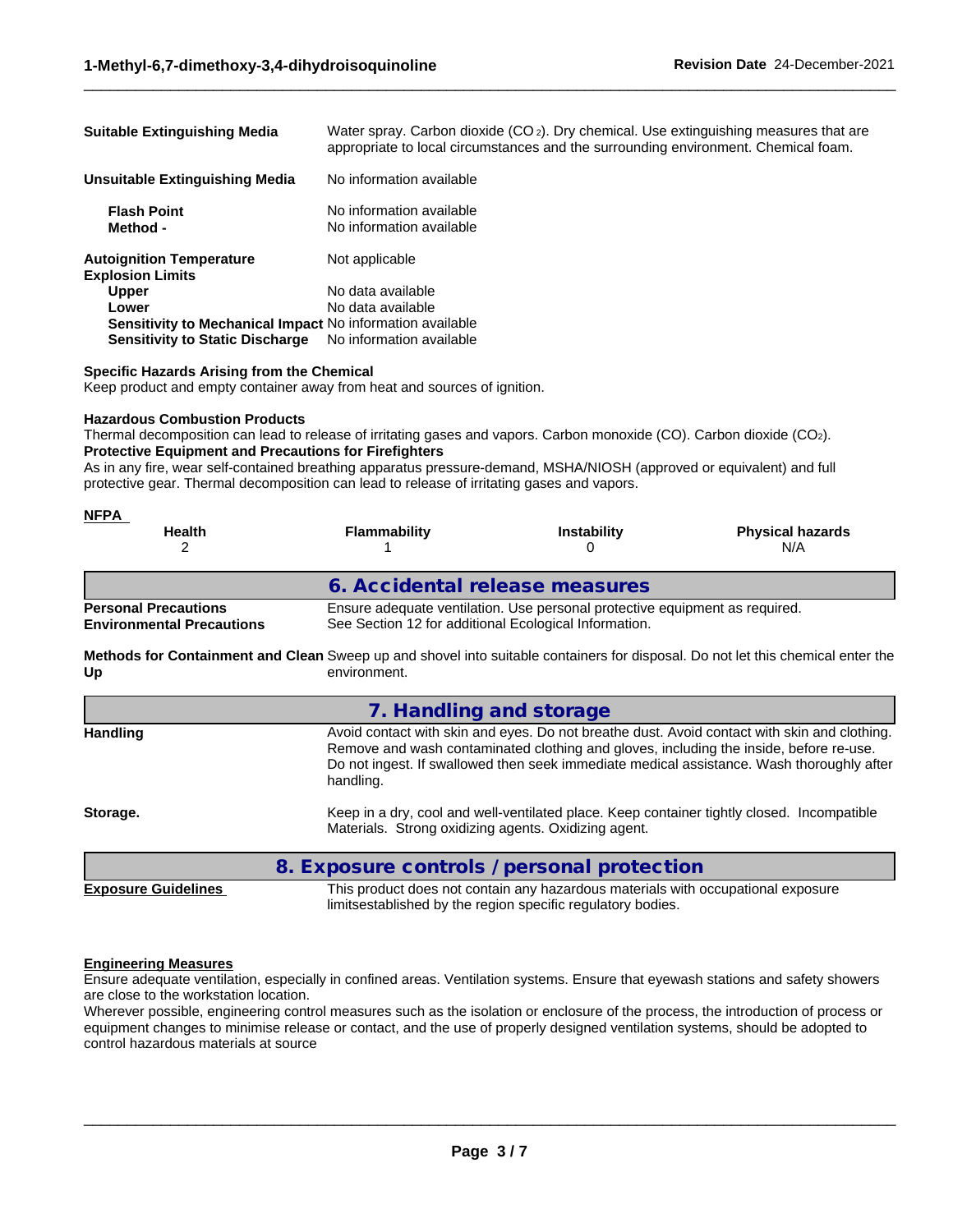| <b>Suitable Extinguishing Media</b>                              | Water spray. Carbon dioxide $(CO_2)$ . Dry chemical. Use extinguishing measures that are<br>appropriate to local circumstances and the surrounding environment. Chemical foam. |
|------------------------------------------------------------------|--------------------------------------------------------------------------------------------------------------------------------------------------------------------------------|
| <b>Unsuitable Extinguishing Media</b>                            | No information available                                                                                                                                                       |
| <b>Flash Point</b><br>Method -                                   | No information available<br>No information available                                                                                                                           |
| <b>Autoignition Temperature</b><br><b>Explosion Limits</b>       | Not applicable                                                                                                                                                                 |
| <b>Upper</b>                                                     | No data available                                                                                                                                                              |
| Lower                                                            | No data available                                                                                                                                                              |
| <b>Sensitivity to Mechanical Impact No information available</b> |                                                                                                                                                                                |
| <b>Sensitivity to Static Discharge</b>                           | No information available                                                                                                                                                       |

 $\_$  ,  $\_$  ,  $\_$  ,  $\_$  ,  $\_$  ,  $\_$  ,  $\_$  ,  $\_$  ,  $\_$  ,  $\_$  ,  $\_$  ,  $\_$  ,  $\_$  ,  $\_$  ,  $\_$  ,  $\_$  ,  $\_$  ,  $\_$  ,  $\_$  ,  $\_$  ,  $\_$  ,  $\_$  ,  $\_$  ,  $\_$  ,  $\_$  ,  $\_$  ,  $\_$  ,  $\_$  ,  $\_$  ,  $\_$  ,  $\_$  ,  $\_$  ,  $\_$  ,  $\_$  ,  $\_$  ,  $\_$  ,  $\_$  ,

## **Specific Hazards Arising from the Chemical**

Keep product and empty container away from heat and sources of ignition.

## **Hazardous Combustion Products**

Thermal decomposition can lead to release of irritating gases and vapors. Carbon monoxide (CO). Carbon dioxide (CO2). **Protective Equipment and Precautions for Firefighters**

As in any fire, wear self-contained breathing apparatus pressure-demand, MSHA/NIOSH (approved or equivalent) and full protective gear. Thermal decomposition can lead to release of irritating gases and vapors.

| <u>NFPA</u><br><b>Health</b>                                    | <b>Flammability</b>                                   | <b>Instability</b>                                                                                                                              | <b>Physical hazards</b>                                                                                                                                                                                                                                                             |
|-----------------------------------------------------------------|-------------------------------------------------------|-------------------------------------------------------------------------------------------------------------------------------------------------|-------------------------------------------------------------------------------------------------------------------------------------------------------------------------------------------------------------------------------------------------------------------------------------|
|                                                                 |                                                       | 0                                                                                                                                               | N/A                                                                                                                                                                                                                                                                                 |
|                                                                 | 6. Accidental release measures                        |                                                                                                                                                 |                                                                                                                                                                                                                                                                                     |
| <b>Personal Precautions</b><br><b>Environmental Precautions</b> | See Section 12 for additional Ecological Information. | Ensure adequate ventilation. Use personal protective equipment as required.                                                                     |                                                                                                                                                                                                                                                                                     |
| Up                                                              | environment.                                          |                                                                                                                                                 | Methods for Containment and Clean Sweep up and shovel into suitable containers for disposal. Do not let this chemical enter the                                                                                                                                                     |
|                                                                 | 7. Handling and storage                               |                                                                                                                                                 |                                                                                                                                                                                                                                                                                     |
| <b>Handling</b>                                                 | handling.                                             |                                                                                                                                                 | Avoid contact with skin and eyes. Do not breathe dust. Avoid contact with skin and clothing.<br>Remove and wash contaminated clothing and gloves, including the inside, before re-use.<br>Do not ingest. If swallowed then seek immediate medical assistance. Wash thoroughly after |
| Storage.                                                        | Materials. Strong oxidizing agents. Oxidizing agent.  |                                                                                                                                                 | Keep in a dry, cool and well-ventilated place. Keep container tightly closed. Incompatible                                                                                                                                                                                          |
|                                                                 | 8. Exposure controls / personal protection            |                                                                                                                                                 |                                                                                                                                                                                                                                                                                     |
| <b>Exposure Guidelines</b>                                      |                                                       | This product does not contain any hazardous materials with occupational exposure<br>limitsestablished by the region specific regulatory bodies. |                                                                                                                                                                                                                                                                                     |

#### **Engineering Measures**

Ensure adequate ventilation, especially in confined areas. Ventilation systems. Ensure that eyewash stations and safety showers are close to the workstation location.

Wherever possible, engineering control measures such as the isolation or enclosure of the process, the introduction of process or equipment changes to minimise release or contact, and the use of properly designed ventilation systems, should be adopted to control hazardous materials at source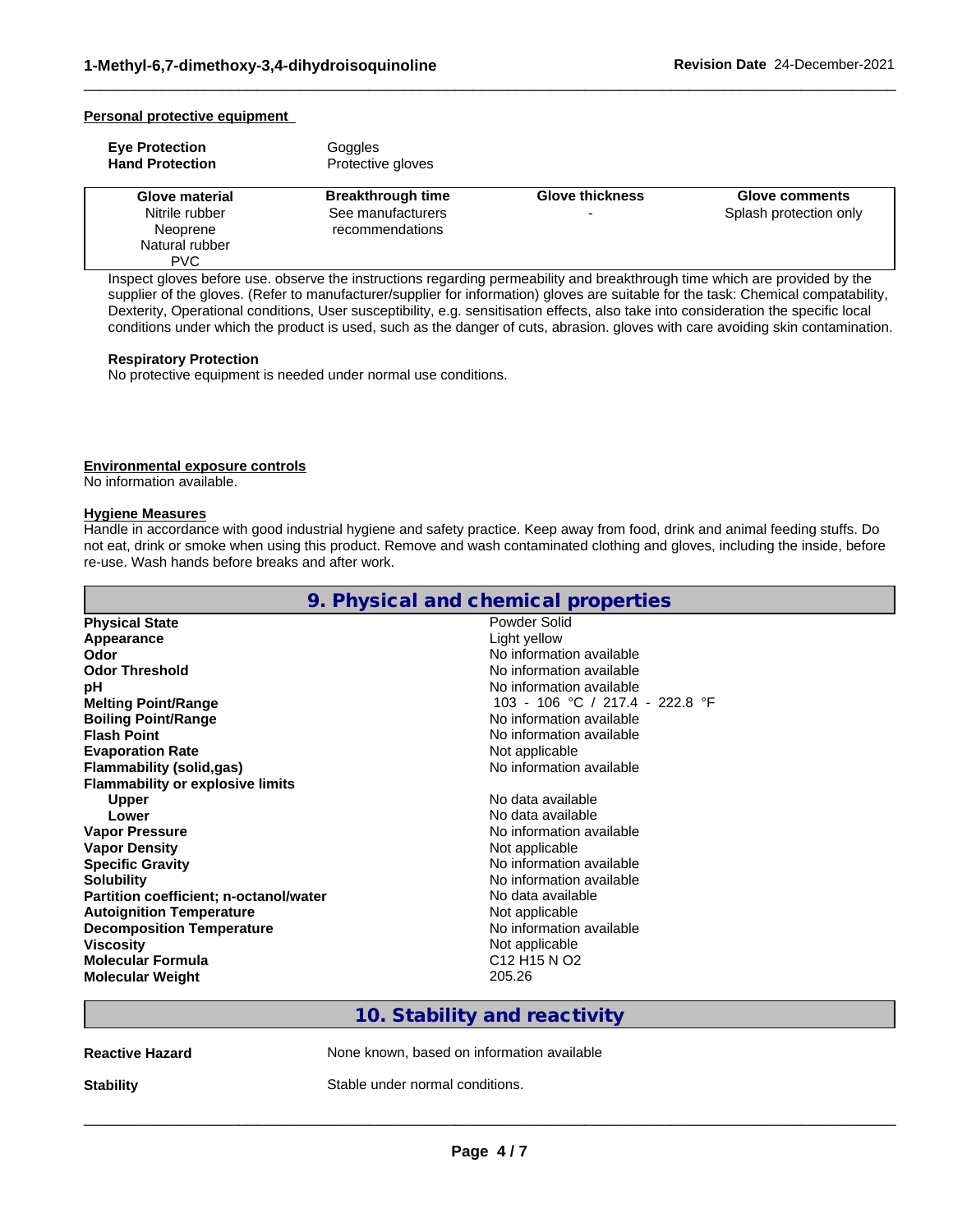## **Personal protective equipment**

| <b>Eve Protection</b><br><b>Hand Protection</b> | Goggles<br>Protective gloves |                        |                        |
|-------------------------------------------------|------------------------------|------------------------|------------------------|
| Glove material                                  | <b>Breakthrough time</b>     | <b>Glove thickness</b> | <b>Glove comments</b>  |
| Nitrile rubber                                  | See manufacturers            |                        | Splash protection only |
| Neoprene                                        | recommendations              |                        |                        |
| Natural rubber                                  |                              |                        |                        |
| PVC                                             |                              |                        |                        |

 $\_$  ,  $\_$  ,  $\_$  ,  $\_$  ,  $\_$  ,  $\_$  ,  $\_$  ,  $\_$  ,  $\_$  ,  $\_$  ,  $\_$  ,  $\_$  ,  $\_$  ,  $\_$  ,  $\_$  ,  $\_$  ,  $\_$  ,  $\_$  ,  $\_$  ,  $\_$  ,  $\_$  ,  $\_$  ,  $\_$  ,  $\_$  ,  $\_$  ,  $\_$  ,  $\_$  ,  $\_$  ,  $\_$  ,  $\_$  ,  $\_$  ,  $\_$  ,  $\_$  ,  $\_$  ,  $\_$  ,  $\_$  ,  $\_$  ,

Inspect gloves before use. observe the instructions regarding permeability and breakthrough time which are provided by the supplier of the gloves. (Refer to manufacturer/supplier for information) gloves are suitable for the task: Chemical compatability, Dexterity, Operational conditions, User susceptibility, e.g. sensitisation effects, also take into consideration the specific local conditions under which the product is used, such as the danger of cuts, abrasion. gloves with care avoiding skin contamination.

## **Respiratory Protection**

No protective equipment is needed under normal use conditions.

## **Environmental exposure controls**

No information available.

## **Hygiene Measures**

Handle in accordance with good industrial hygiene and safety practice. Keep away from food, drink and animal feeding stuffs. Do not eat, drink or smoke when using this product. Remove and wash contaminated clothing and gloves, including the inside, before re-use. Wash hands before breaks and after work.

|                                         | 9. Physical and chemical properties              |
|-----------------------------------------|--------------------------------------------------|
| <b>Physical State</b>                   | Powder Solid                                     |
| Appearance                              | Light yellow                                     |
| Odor                                    | No information available                         |
| <b>Odor Threshold</b>                   | No information available                         |
| рH                                      | No information available                         |
| <b>Melting Point/Range</b>              | 103 - 106 °C / 217.4 - 222.8 °F                  |
| <b>Boiling Point/Range</b>              | No information available                         |
| <b>Flash Point</b>                      | No information available                         |
| <b>Evaporation Rate</b>                 | Not applicable                                   |
| <b>Flammability (solid,gas)</b>         | No information available                         |
| <b>Flammability or explosive limits</b> |                                                  |
| <b>Upper</b>                            | No data available                                |
| Lower                                   | No data available                                |
| <b>Vapor Pressure</b>                   | No information available                         |
| <b>Vapor Density</b>                    | Not applicable                                   |
| <b>Specific Gravity</b>                 | No information available                         |
| <b>Solubility</b>                       | No information available                         |
| Partition coefficient; n-octanol/water  | No data available                                |
| <b>Autoignition Temperature</b>         | Not applicable                                   |
| <b>Decomposition Temperature</b>        | No information available                         |
| <b>Viscosity</b>                        | Not applicable                                   |
| <b>Molecular Formula</b>                | C <sub>12</sub> H <sub>15</sub> N O <sub>2</sub> |
| <b>Molecular Weight</b>                 | 205.26                                           |
|                                         |                                                  |

## **10. Stability and reactivity**

**Reactive Hazard None known, based on information available** 

**Stability** Stable under normal conditions.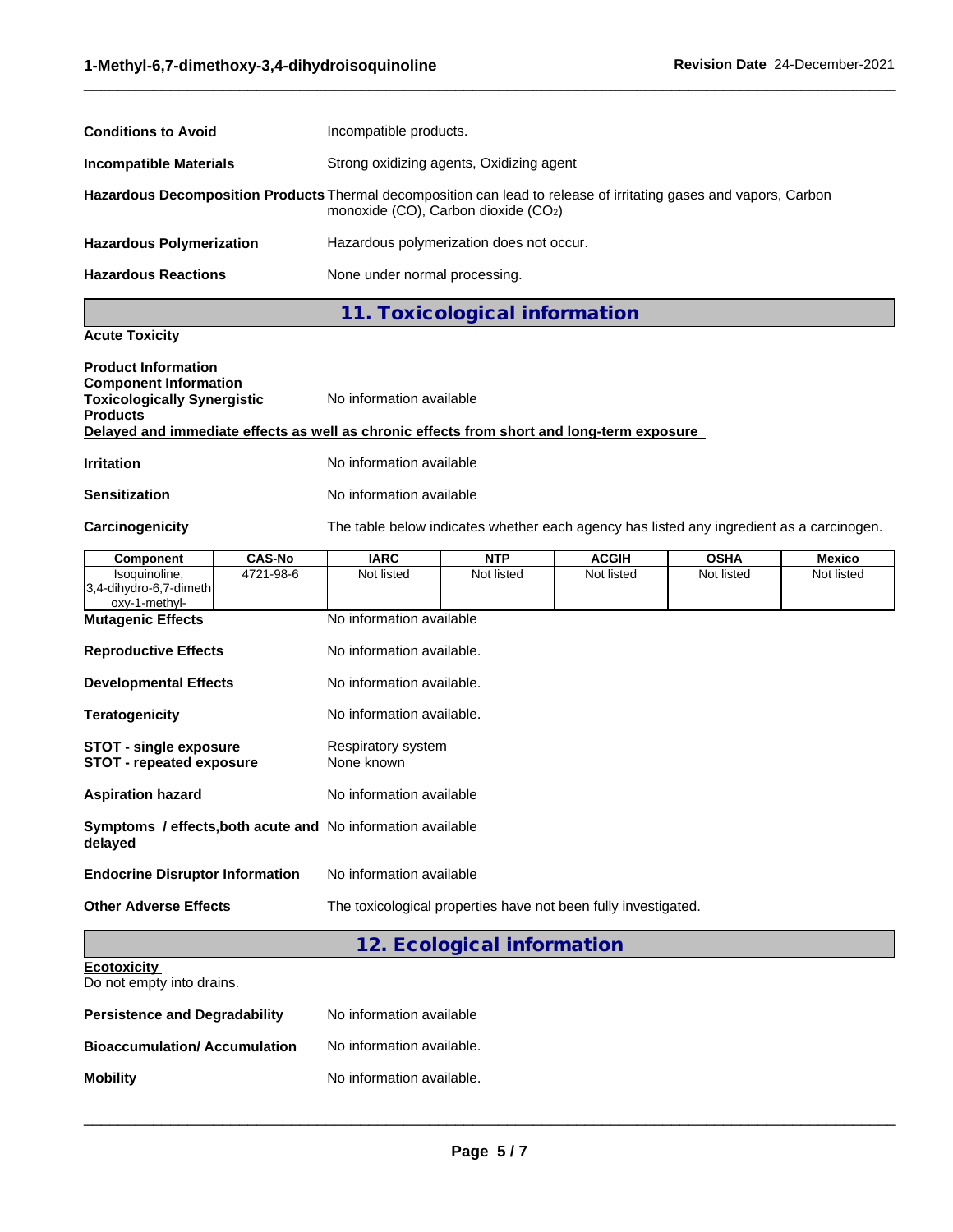| <b>Conditions to Avoid</b>      | Incompatible products.                                                                                                                                   |
|---------------------------------|----------------------------------------------------------------------------------------------------------------------------------------------------------|
| <b>Incompatible Materials</b>   | Strong oxidizing agents, Oxidizing agent                                                                                                                 |
|                                 | Hazardous Decomposition Products Thermal decomposition can lead to release of irritating gases and vapors, Carbon<br>monoxide (CO), Carbon dioxide (CO2) |
| <b>Hazardous Polymerization</b> | Hazardous polymerization does not occur.                                                                                                                 |
| <b>Hazardous Reactions</b>      | None under normal processing.                                                                                                                            |

 $\_$  ,  $\_$  ,  $\_$  ,  $\_$  ,  $\_$  ,  $\_$  ,  $\_$  ,  $\_$  ,  $\_$  ,  $\_$  ,  $\_$  ,  $\_$  ,  $\_$  ,  $\_$  ,  $\_$  ,  $\_$  ,  $\_$  ,  $\_$  ,  $\_$  ,  $\_$  ,  $\_$  ,  $\_$  ,  $\_$  ,  $\_$  ,  $\_$  ,  $\_$  ,  $\_$  ,  $\_$  ,  $\_$  ,  $\_$  ,  $\_$  ,  $\_$  ,  $\_$  ,  $\_$  ,  $\_$  ,  $\_$  ,  $\_$  ,

# **11. Toxicological information**

## **Acute Toxicity**

| <b>Product Information</b><br><b>Component Information</b><br><b>Toxicologically Synergistic</b><br>Products | No information available                                                                   |
|--------------------------------------------------------------------------------------------------------------|--------------------------------------------------------------------------------------------|
|                                                                                                              | Delayed and immediate effects as well as chronic effects from short and long-term exposure |
| Irritation                                                                                                   | No information available                                                                   |

## **Sensitization** No information available

Carcinogenicity **The table below indicates whether each agency has listed any ingredient as a carcinogen.** 

| <b>Component</b>                                                              | <b>CAS-No</b> | <b>IARC</b>                                                    | <b>NTP</b>                 | <b>ACGIH</b> | <b>OSHA</b> | <b>Mexico</b> |
|-------------------------------------------------------------------------------|---------------|----------------------------------------------------------------|----------------------------|--------------|-------------|---------------|
| Isoquinoline,<br>3,4-dihydro-6,7-dimeth<br>oxy-1-methyl-                      | 4721-98-6     | Not listed                                                     | Not listed                 | Not listed   | Not listed  | Not listed    |
| <b>Mutagenic Effects</b>                                                      |               | No information available                                       |                            |              |             |               |
| <b>Reproductive Effects</b>                                                   |               | No information available.                                      |                            |              |             |               |
| <b>Developmental Effects</b>                                                  |               | No information available.                                      |                            |              |             |               |
| <b>Teratogenicity</b>                                                         |               | No information available.                                      |                            |              |             |               |
| <b>STOT - single exposure</b><br><b>STOT - repeated exposure</b>              |               | Respiratory system<br>None known                               |                            |              |             |               |
| <b>Aspiration hazard</b>                                                      |               | No information available                                       |                            |              |             |               |
| <b>Symptoms / effects, both acute and No information available</b><br>delayed |               |                                                                |                            |              |             |               |
| <b>Endocrine Disruptor Information</b>                                        |               | No information available                                       |                            |              |             |               |
| <b>Other Adverse Effects</b>                                                  |               | The toxicological properties have not been fully investigated. |                            |              |             |               |
|                                                                               |               |                                                                | 12. Ecological information |              |             |               |
| <b>Ecotoxicity</b><br>Do not empty into drains.                               |               |                                                                |                            |              |             |               |

| <b>Persistence and Degradability</b> | No information available  |
|--------------------------------------|---------------------------|
| <b>Bioaccumulation/Accumulation</b>  | No information available. |
| <b>Mobility</b>                      | No information available. |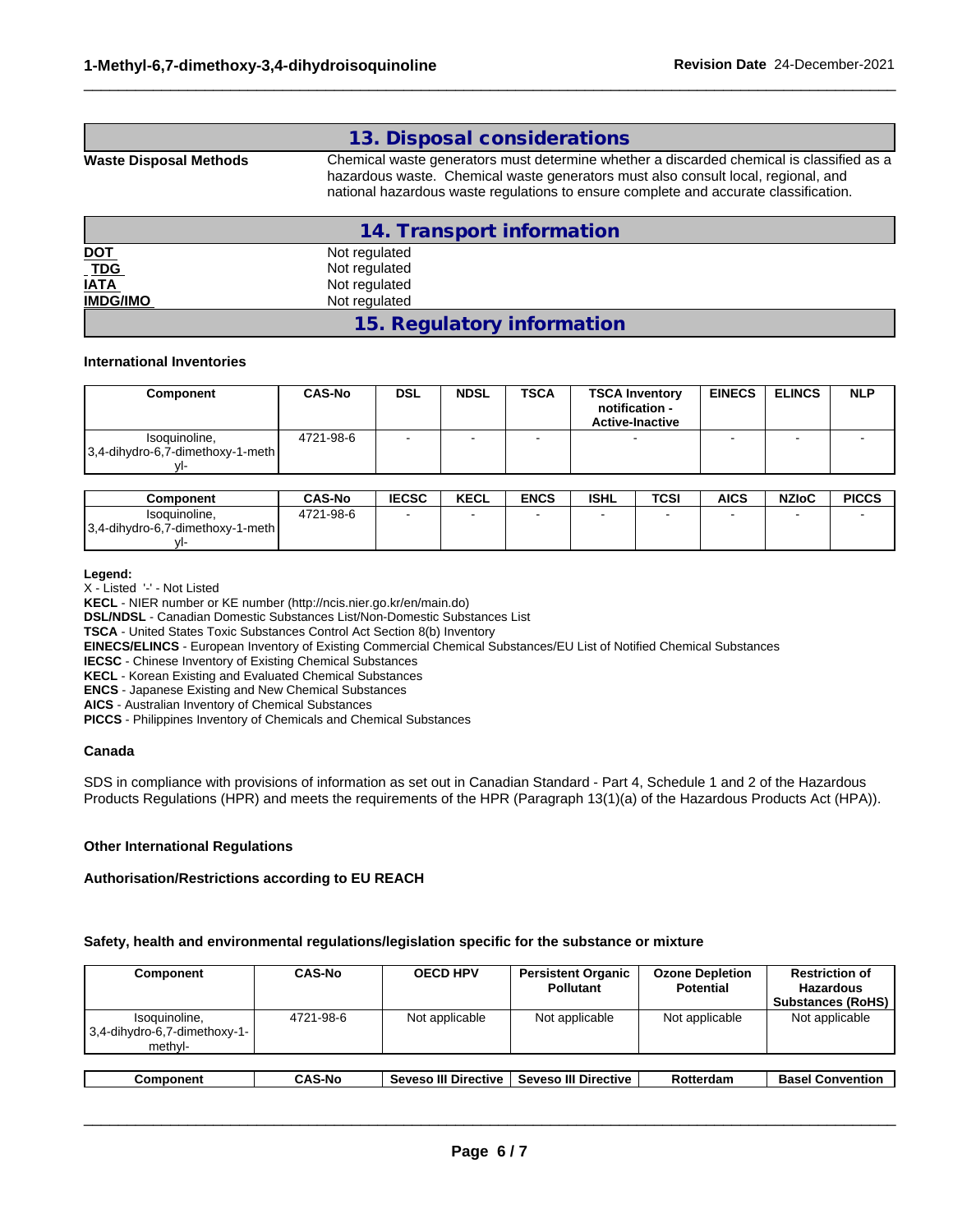## **13. Disposal considerations**

**Waste Disposal Methods** Chemical waste generators must determine whether a discarded chemical is classified as a hazardous waste. Chemical waste generators must also consult local, regional, and national hazardous waste regulations to ensure complete and accurate classification.

 $\_$  ,  $\_$  ,  $\_$  ,  $\_$  ,  $\_$  ,  $\_$  ,  $\_$  ,  $\_$  ,  $\_$  ,  $\_$  ,  $\_$  ,  $\_$  ,  $\_$  ,  $\_$  ,  $\_$  ,  $\_$  ,  $\_$  ,  $\_$  ,  $\_$  ,  $\_$  ,  $\_$  ,  $\_$  ,  $\_$  ,  $\_$  ,  $\_$  ,  $\_$  ,  $\_$  ,  $\_$  ,  $\_$  ,  $\_$  ,  $\_$  ,  $\_$  ,  $\_$  ,  $\_$  ,  $\_$  ,  $\_$  ,  $\_$  ,

|                    | 14. Transport information  |  |
|--------------------|----------------------------|--|
| <u>DOT</u>         | Not regulated              |  |
|                    | Not regulated              |  |
| <u>TDG</u><br>IATA | Not regulated              |  |
| <b>IMDG/IMO</b>    | Not regulated              |  |
|                    | 15. Regulatory information |  |

## **International Inventories**

| Component                                             | <b>CAS-No</b> | DSL | <b>NDSL</b> | <b>TSCA</b> | <b>TSCA Inventory</b><br>notification -<br><b>Active-Inactive</b> | <b>EINECS</b> | <b>ELINCS</b> | <b>NLP</b> |
|-------------------------------------------------------|---------------|-----|-------------|-------------|-------------------------------------------------------------------|---------------|---------------|------------|
| Isoquinoline,<br>$ 3,4$ -dihydro-6,7-dimethoxy-1-meth | 4721-98-6     |     |             |             | -                                                                 |               |               | -          |

| Component                                                 | <b>CAS-No</b> | <b>IECSC</b> | <b>KECL</b> | <b>ENCS</b> | <b>ISHL</b> | <b>TCSI</b> | <b>AICS</b> | <b>NZIoC</b> | <b>PICCS</b> |
|-----------------------------------------------------------|---------------|--------------|-------------|-------------|-------------|-------------|-------------|--------------|--------------|
| Isoquinoline.<br>3.4-dihydro-6.7-<br>dimethoxy-1<br>-meth | 4721-98-6     |              |             |             |             |             |             |              |              |
| $M_{\rm \bullet}$                                         |               |              |             |             |             |             |             |              |              |

### **Legend:**

X - Listed '-' - Not Listed

**KECL** - NIER number or KE number (http://ncis.nier.go.kr/en/main.do)

**DSL/NDSL** - Canadian Domestic Substances List/Non-Domestic Substances List

**TSCA** - United States Toxic Substances Control Act Section 8(b) Inventory

**EINECS/ELINCS** - European Inventory of Existing Commercial Chemical Substances/EU List of Notified Chemical Substances

**IECSC** - Chinese Inventory of Existing Chemical Substances

**KECL** - Korean Existing and Evaluated Chemical Substances

**ENCS** - Japanese Existing and New Chemical Substances

**AICS** - Australian Inventory of Chemical Substances

**PICCS** - Philippines Inventory of Chemicals and Chemical Substances

### **Canada**

SDS in compliance with provisions of information as set out in Canadian Standard - Part 4, Schedule 1 and 2 of the Hazardous Products Regulations (HPR) and meets the requirements of the HPR (Paragraph 13(1)(a) of the Hazardous Products Act (HPA)).

### **Other International Regulations**

## **Authorisation/Restrictions according to EU REACH**

## **Safety, health and environmental regulations/legislation specific for the substance or mixture**

| Component                                                    | <b>CAS-No</b> | <b>OECD HPV</b>      | <b>Persistent Organic</b><br><b>Pollutant</b> | <b>Ozone Depletion</b><br>Potential | <b>Restriction of</b><br>Hazardous<br><b>Substances (RoHS)</b> |  |
|--------------------------------------------------------------|---------------|----------------------|-----------------------------------------------|-------------------------------------|----------------------------------------------------------------|--|
| Isoquinoline,<br>$ 3,4$ -dihydro-6,7-dimethoxy-1-<br>methyl- | 4721-98-6     | Not applicable       | Not applicable                                | Not applicable                      | Not applicable                                                 |  |
|                                                              |               |                      |                                               |                                     |                                                                |  |
| Component                                                    | <b>CAS-No</b> | Seveso III Directive | <b>Seveso III Directive</b>                   | Rotterdam                           | <b>Basel Convention</b>                                        |  |